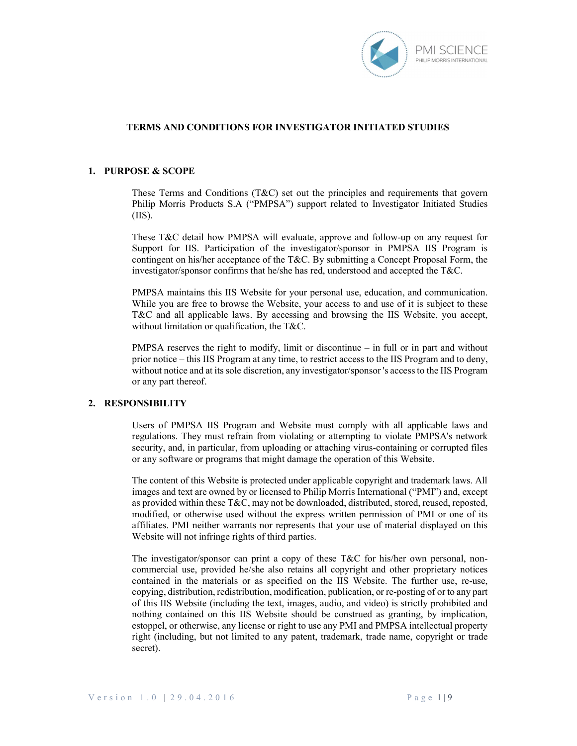

### 1. PURPOSE & SCOPE

These Terms and Conditions (T&C) set out the principles and requirements that govern Philip Morris Products S.A ("PMPSA") support related to Investigator Initiated Studies (IIS).

These T&C detail how PMPSA will evaluate, approve and follow-up on any request for Support for IIS. Participation of the investigator/sponsor in PMPSA IIS Program is contingent on his/her acceptance of the T&C. By submitting a Concept Proposal Form, the investigator/sponsor confirms that he/she has red, understood and accepted the T&C.

PMPSA maintains this IIS Website for your personal use, education, and communication. While you are free to browse the Website, your access to and use of it is subject to these T&C and all applicable laws. By accessing and browsing the IIS Website, you accept, without limitation or qualification, the T&C.

PMPSA reserves the right to modify, limit or discontinue – in full or in part and without prior notice – this IIS Program at any time, to restrict access to the IIS Program and to deny, without notice and at its sole discretion, any investigator/sponsor 's access to the IIS Program or any part thereof.

## 2. RESPONSIBILITY

Users of PMPSA IIS Program and Website must comply with all applicable laws and regulations. They must refrain from violating or attempting to violate PMPSA's network security, and, in particular, from uploading or attaching virus-containing or corrupted files or any software or programs that might damage the operation of this Website.

The content of this Website is protected under applicable copyright and trademark laws. All images and text are owned by or licensed to Philip Morris International ("PMI") and, except as provided within these T&C, may not be downloaded, distributed, stored, reused, reposted, modified, or otherwise used without the express written permission of PMI or one of its affiliates. PMI neither warrants nor represents that your use of material displayed on this Website will not infringe rights of third parties.

The investigator/sponsor can print a copy of these T&C for his/her own personal, noncommercial use, provided he/she also retains all copyright and other proprietary notices contained in the materials or as specified on the IIS Website. The further use, re-use, copying, distribution, redistribution, modification, publication, or re-posting of or to any part of this IIS Website (including the text, images, audio, and video) is strictly prohibited and nothing contained on this IIS Website should be construed as granting, by implication, estoppel, or otherwise, any license or right to use any PMI and PMPSA intellectual property right (including, but not limited to any patent, trademark, trade name, copyright or trade secret).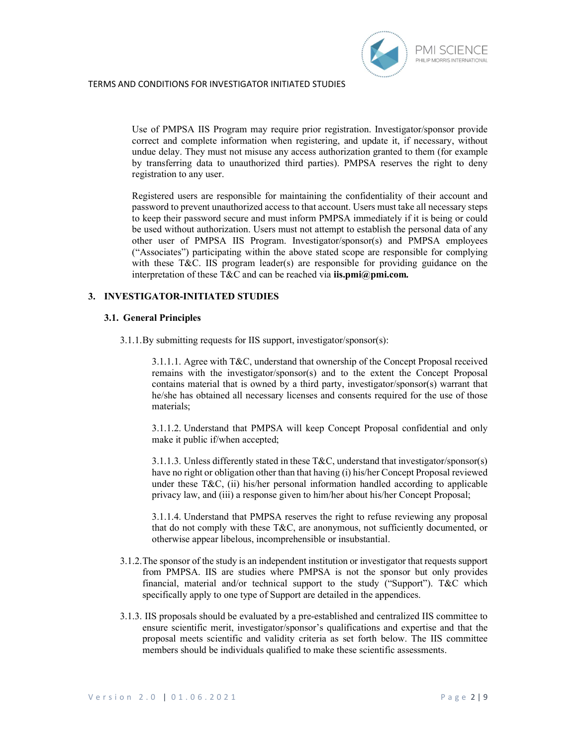

Use of PMPSA IIS Program may require prior registration. Investigator/sponsor provide correct and complete information when registering, and update it, if necessary, without undue delay. They must not misuse any access authorization granted to them (for example by transferring data to unauthorized third parties). PMPSA reserves the right to deny registration to any user.

Registered users are responsible for maintaining the confidentiality of their account and password to prevent unauthorized access to that account. Users must take all necessary steps to keep their password secure and must inform PMPSA immediately if it is being or could be used without authorization. Users must not attempt to establish the personal data of any other user of PMPSA IIS Program. Investigator/sponsor(s) and PMPSA employees ("Associates") participating within the above stated scope are responsible for complying with these T&C. IIS program leader(s) are responsible for providing guidance on the interpretation of these T&C and can be reached via **iis.pmi@pmi.com.** 

## 3. INVESTIGATOR-INITIATED STUDIES

## 3.1. General Principles

3.1.1.By submitting requests for IIS support, investigator/sponsor(s):

3.1.1.1. Agree with T&C, understand that ownership of the Concept Proposal received remains with the investigator/sponsor(s) and to the extent the Concept Proposal contains material that is owned by a third party, investigator/sponsor(s) warrant that he/she has obtained all necessary licenses and consents required for the use of those materials;

3.1.1.2. Understand that PMPSA will keep Concept Proposal confidential and only make it public if/when accepted;

3.1.1.3. Unless differently stated in these T&C, understand that investigator/sponsor(s) have no right or obligation other than that having (i) his/her Concept Proposal reviewed under these T&C, (ii) his/her personal information handled according to applicable privacy law, and (iii) a response given to him/her about his/her Concept Proposal;

3.1.1.4. Understand that PMPSA reserves the right to refuse reviewing any proposal that do not comply with these T&C, are anonymous, not sufficiently documented, or otherwise appear libelous, incomprehensible or insubstantial.

- 3.1.2.The sponsor of the study is an independent institution or investigator that requests support from PMPSA. IIS are studies where PMPSA is not the sponsor but only provides financial, material and/or technical support to the study ("Support"). T&C which specifically apply to one type of Support are detailed in the appendices.
- 3.1.3. IIS proposals should be evaluated by a pre-established and centralized IIS committee to ensure scientific merit, investigator/sponsor's qualifications and expertise and that the proposal meets scientific and validity criteria as set forth below. The IIS committee members should be individuals qualified to make these scientific assessments.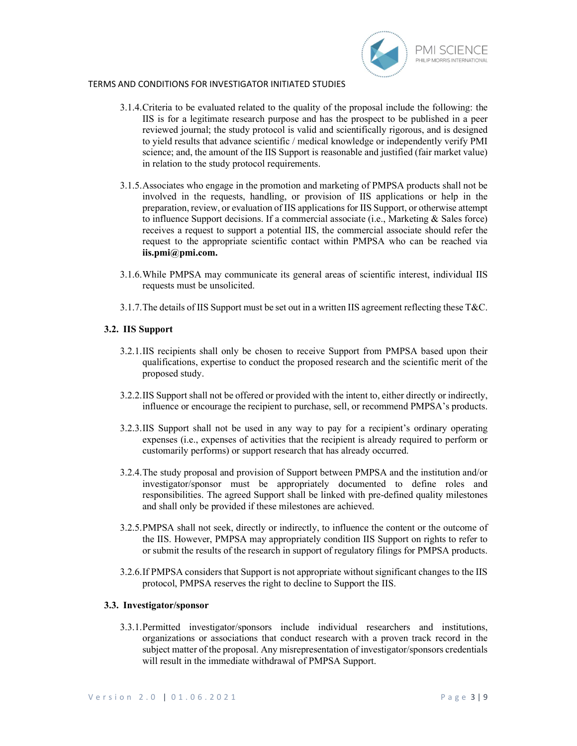

- 3.1.4.Criteria to be evaluated related to the quality of the proposal include the following: the IIS is for a legitimate research purpose and has the prospect to be published in a peer reviewed journal; the study protocol is valid and scientifically rigorous, and is designed to yield results that advance scientific / medical knowledge or independently verify PMI science; and, the amount of the IIS Support is reasonable and justified (fair market value) in relation to the study protocol requirements.
- 3.1.5.Associates who engage in the promotion and marketing of PMPSA products shall not be involved in the requests, handling, or provision of IIS applications or help in the preparation, review, or evaluation of IIS applications for IIS Support, or otherwise attempt to influence Support decisions. If a commercial associate (i.e., Marketing & Sales force) receives a request to support a potential IIS, the commercial associate should refer the request to the appropriate scientific contact within PMPSA who can be reached via iis.pmi@pmi.com.
- 3.1.6.While PMPSA may communicate its general areas of scientific interest, individual IIS requests must be unsolicited.
- 3.1.7.The details of IIS Support must be set out in a written IIS agreement reflecting these T&C.

### 3.2. IIS Support

- 3.2.1.IIS recipients shall only be chosen to receive Support from PMPSA based upon their qualifications, expertise to conduct the proposed research and the scientific merit of the proposed study.
- 3.2.2.IIS Support shall not be offered or provided with the intent to, either directly or indirectly, influence or encourage the recipient to purchase, sell, or recommend PMPSA's products.
- 3.2.3.IIS Support shall not be used in any way to pay for a recipient's ordinary operating expenses (i.e., expenses of activities that the recipient is already required to perform or customarily performs) or support research that has already occurred.
- 3.2.4.The study proposal and provision of Support between PMPSA and the institution and/or investigator/sponsor must be appropriately documented to define roles and responsibilities. The agreed Support shall be linked with pre-defined quality milestones and shall only be provided if these milestones are achieved.
- 3.2.5.PMPSA shall not seek, directly or indirectly, to influence the content or the outcome of the IIS. However, PMPSA may appropriately condition IIS Support on rights to refer to or submit the results of the research in support of regulatory filings for PMPSA products.
- 3.2.6.If PMPSA considers that Support is not appropriate without significant changes to the IIS protocol, PMPSA reserves the right to decline to Support the IIS.

### 3.3. Investigator/sponsor

3.3.1.Permitted investigator/sponsors include individual researchers and institutions, organizations or associations that conduct research with a proven track record in the subject matter of the proposal. Any misrepresentation of investigator/sponsors credentials will result in the immediate withdrawal of PMPSA Support.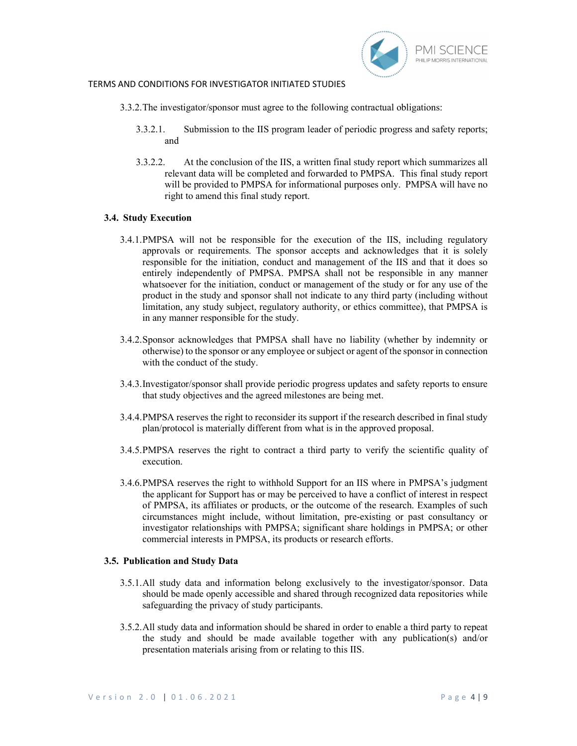

- 3.3.2.The investigator/sponsor must agree to the following contractual obligations:
	- 3.3.2.1. Submission to the IIS program leader of periodic progress and safety reports; and
	- 3.3.2.2. At the conclusion of the IIS, a written final study report which summarizes all relevant data will be completed and forwarded to PMPSA. This final study report will be provided to PMPSA for informational purposes only. PMPSA will have no right to amend this final study report.

#### 3.4. Study Execution

- 3.4.1.PMPSA will not be responsible for the execution of the IIS, including regulatory approvals or requirements. The sponsor accepts and acknowledges that it is solely responsible for the initiation, conduct and management of the IIS and that it does so entirely independently of PMPSA. PMPSA shall not be responsible in any manner whatsoever for the initiation, conduct or management of the study or for any use of the product in the study and sponsor shall not indicate to any third party (including without limitation, any study subject, regulatory authority, or ethics committee), that PMPSA is in any manner responsible for the study.
- 3.4.2.Sponsor acknowledges that PMPSA shall have no liability (whether by indemnity or otherwise) to the sponsor or any employee or subject or agent of the sponsor in connection with the conduct of the study.
- 3.4.3.Investigator/sponsor shall provide periodic progress updates and safety reports to ensure that study objectives and the agreed milestones are being met.
- 3.4.4.PMPSA reserves the right to reconsider its support if the research described in final study plan/protocol is materially different from what is in the approved proposal.
- 3.4.5.PMPSA reserves the right to contract a third party to verify the scientific quality of execution.
- 3.4.6.PMPSA reserves the right to withhold Support for an IIS where in PMPSA's judgment the applicant for Support has or may be perceived to have a conflict of interest in respect of PMPSA, its affiliates or products, or the outcome of the research. Examples of such circumstances might include, without limitation, pre-existing or past consultancy or investigator relationships with PMPSA; significant share holdings in PMPSA; or other commercial interests in PMPSA, its products or research efforts.

#### 3.5. Publication and Study Data

- 3.5.1.All study data and information belong exclusively to the investigator/sponsor. Data should be made openly accessible and shared through recognized data repositories while safeguarding the privacy of study participants.
- 3.5.2.All study data and information should be shared in order to enable a third party to repeat the study and should be made available together with any publication(s) and/or presentation materials arising from or relating to this IIS.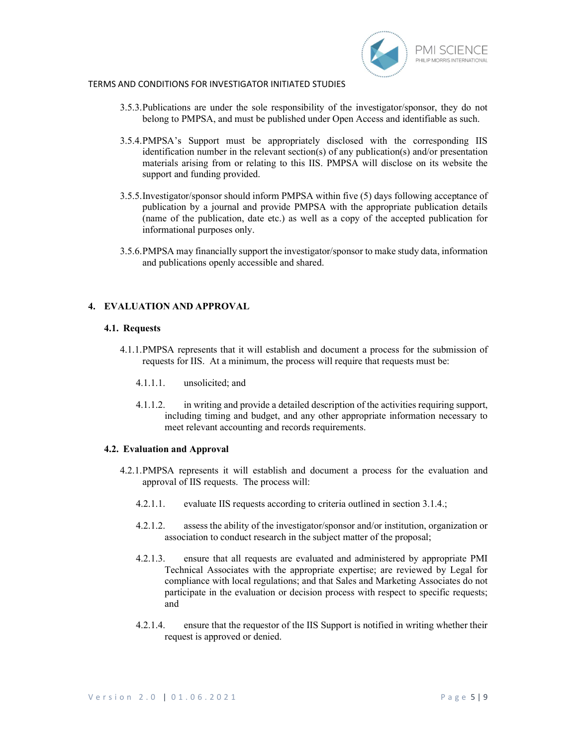

- 3.5.3.Publications are under the sole responsibility of the investigator/sponsor, they do not belong to PMPSA, and must be published under Open Access and identifiable as such.
- 3.5.4.PMPSA's Support must be appropriately disclosed with the corresponding IIS identification number in the relevant section(s) of any publication(s) and/or presentation materials arising from or relating to this IIS. PMPSA will disclose on its website the support and funding provided.
- 3.5.5.Investigator/sponsor should inform PMPSA within five (5) days following acceptance of publication by a journal and provide PMPSA with the appropriate publication details (name of the publication, date etc.) as well as a copy of the accepted publication for informational purposes only.
- 3.5.6.PMPSA may financially support the investigator/sponsor to make study data, information and publications openly accessible and shared.

## 4. EVALUATION AND APPROVAL

#### 4.1. Requests

- 4.1.1.PMPSA represents that it will establish and document a process for the submission of requests for IIS. At a minimum, the process will require that requests must be:
	- 4.1.1.1. unsolicited; and
	- 4.1.1.2. in writing and provide a detailed description of the activities requiring support, including timing and budget, and any other appropriate information necessary to meet relevant accounting and records requirements.

#### 4.2. Evaluation and Approval

- 4.2.1.PMPSA represents it will establish and document a process for the evaluation and approval of IIS requests. The process will:
	- 4.2.1.1. evaluate IIS requests according to criteria outlined in section 3.1.4.;
	- 4.2.1.2. assess the ability of the investigator/sponsor and/or institution, organization or association to conduct research in the subject matter of the proposal;
	- 4.2.1.3. ensure that all requests are evaluated and administered by appropriate PMI Technical Associates with the appropriate expertise; are reviewed by Legal for compliance with local regulations; and that Sales and Marketing Associates do not participate in the evaluation or decision process with respect to specific requests; and
	- 4.2.1.4. ensure that the requestor of the IIS Support is notified in writing whether their request is approved or denied.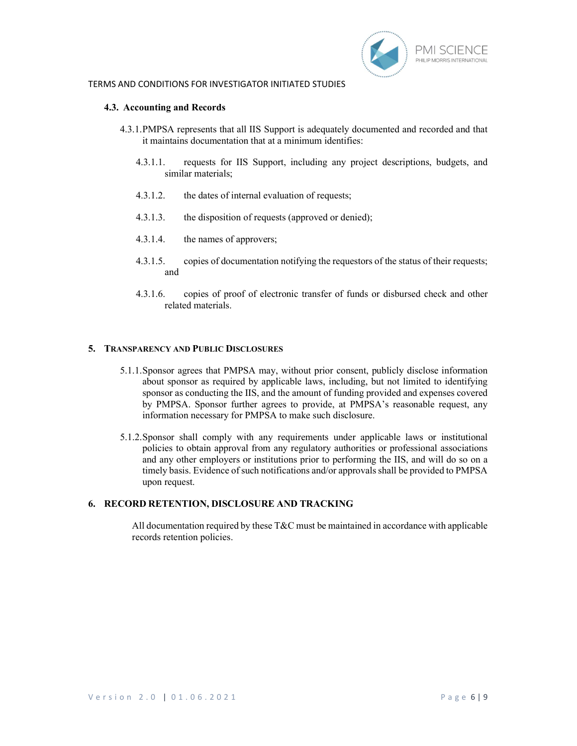

#### 4.3. Accounting and Records

- 4.3.1.PMPSA represents that all IIS Support is adequately documented and recorded and that it maintains documentation that at a minimum identifies:
	- 4.3.1.1. requests for IIS Support, including any project descriptions, budgets, and similar materials;
	- 4.3.1.2. the dates of internal evaluation of requests;
	- 4.3.1.3. the disposition of requests (approved or denied);
	- 4.3.1.4. the names of approvers;
	- 4.3.1.5. copies of documentation notifying the requestors of the status of their requests; and
	- 4.3.1.6. copies of proof of electronic transfer of funds or disbursed check and other related materials.

### 5. TRANSPARENCY AND PUBLIC DISCLOSURES

- 5.1.1.Sponsor agrees that PMPSA may, without prior consent, publicly disclose information about sponsor as required by applicable laws, including, but not limited to identifying sponsor as conducting the IIS, and the amount of funding provided and expenses covered by PMPSA. Sponsor further agrees to provide, at PMPSA's reasonable request, any information necessary for PMPSA to make such disclosure.
- 5.1.2.Sponsor shall comply with any requirements under applicable laws or institutional policies to obtain approval from any regulatory authorities or professional associations and any other employers or institutions prior to performing the IIS, and will do so on a timely basis. Evidence of such notifications and/or approvals shall be provided to PMPSA upon request.

## 6. RECORD RETENTION, DISCLOSURE AND TRACKING

All documentation required by these  $T\&C$  must be maintained in accordance with applicable records retention policies.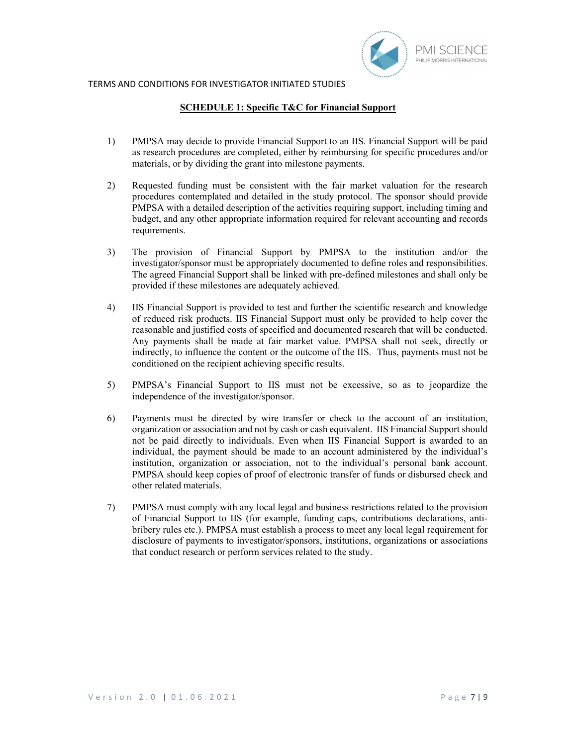

### SCHEDULE 1: Specific T&C for Financial Support

- 1) PMPSA may decide to provide Financial Support to an IIS. Financial Support will be paid as research procedures are completed, either by reimbursing for specific procedures and/or materials, or by dividing the grant into milestone payments.
- 2) Requested funding must be consistent with the fair market valuation for the research procedures contemplated and detailed in the study protocol. The sponsor should provide PMPSA with a detailed description of the activities requiring support, including timing and budget, and any other appropriate information required for relevant accounting and records requirements.
- 3) The provision of Financial Support by PMPSA to the institution and/or the investigator/sponsor must be appropriately documented to define roles and responsibilities. The agreed Financial Support shall be linked with pre-defined milestones and shall only be provided if these milestones are adequately achieved.
- 4) IIS Financial Support is provided to test and further the scientific research and knowledge of reduced risk products. IIS Financial Support must only be provided to help cover the reasonable and justified costs of specified and documented research that will be conducted. Any payments shall be made at fair market value. PMPSA shall not seek, directly or indirectly, to influence the content or the outcome of the IIS. Thus, payments must not be conditioned on the recipient achieving specific results.
- 5) PMPSA's Financial Support to IIS must not be excessive, so as to jeopardize the independence of the investigator/sponsor.
- 6) Payments must be directed by wire transfer or check to the account of an institution, organization or association and not by cash or cash equivalent. IIS Financial Support should not be paid directly to individuals. Even when IIS Financial Support is awarded to an individual, the payment should be made to an account administered by the individual's institution, organization or association, not to the individual's personal bank account. PMPSA should keep copies of proof of electronic transfer of funds or disbursed check and other related materials.
- 7) PMPSA must comply with any local legal and business restrictions related to the provision of Financial Support to IIS (for example, funding caps, contributions declarations, antibribery rules etc.). PMPSA must establish a process to meet any local legal requirement for disclosure of payments to investigator/sponsors, institutions, organizations or associations that conduct research or perform services related to the study.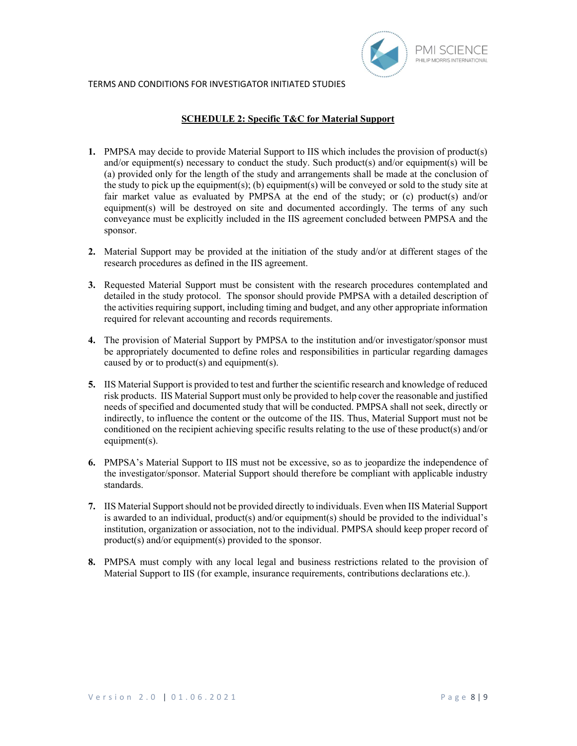

# SCHEDULE 2: Specific T&C for Material Support

- 1. PMPSA may decide to provide Material Support to IIS which includes the provision of product(s) and/or equipment(s) necessary to conduct the study. Such product(s) and/or equipment(s) will be (a) provided only for the length of the study and arrangements shall be made at the conclusion of the study to pick up the equipment(s); (b) equipment(s) will be conveyed or sold to the study site at fair market value as evaluated by PMPSA at the end of the study; or (c) product(s) and/or equipment(s) will be destroyed on site and documented accordingly. The terms of any such conveyance must be explicitly included in the IIS agreement concluded between PMPSA and the sponsor.
- 2. Material Support may be provided at the initiation of the study and/or at different stages of the research procedures as defined in the IIS agreement.
- 3. Requested Material Support must be consistent with the research procedures contemplated and detailed in the study protocol. The sponsor should provide PMPSA with a detailed description of the activities requiring support, including timing and budget, and any other appropriate information required for relevant accounting and records requirements.
- 4. The provision of Material Support by PMPSA to the institution and/or investigator/sponsor must be appropriately documented to define roles and responsibilities in particular regarding damages caused by or to product(s) and equipment(s).
- 5. IIS Material Support is provided to test and further the scientific research and knowledge of reduced risk products. IIS Material Support must only be provided to help cover the reasonable and justified needs of specified and documented study that will be conducted. PMPSA shall not seek, directly or indirectly, to influence the content or the outcome of the IIS. Thus, Material Support must not be conditioned on the recipient achieving specific results relating to the use of these product(s) and/or equipment(s).
- 6. PMPSA's Material Support to IIS must not be excessive, so as to jeopardize the independence of the investigator/sponsor. Material Support should therefore be compliant with applicable industry standards.
- 7. IIS Material Support should not be provided directly to individuals. Even when IIS Material Support is awarded to an individual, product(s) and/or equipment(s) should be provided to the individual's institution, organization or association, not to the individual. PMPSA should keep proper record of product(s) and/or equipment(s) provided to the sponsor.
- 8. PMPSA must comply with any local legal and business restrictions related to the provision of Material Support to IIS (for example, insurance requirements, contributions declarations etc.).